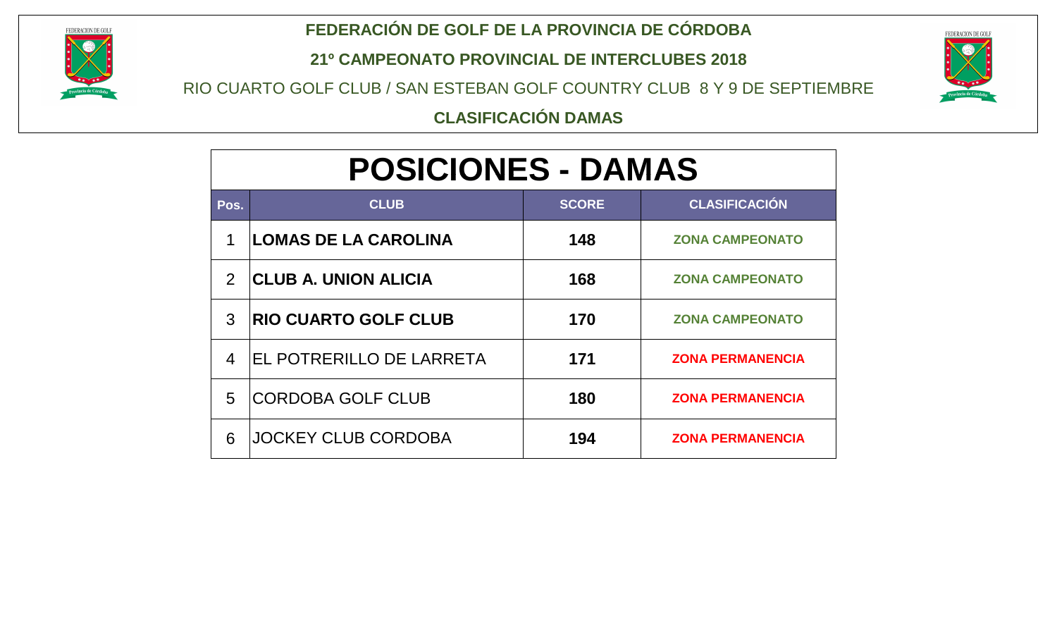

#### **FEDERACIÓN DE GOLF DE LA PROVINCIA DE CÓRDOBA**

**21º CAMPEONATO PROVINCIAL DE INTERCLUBES 2018**

RIO CUARTO GOLF CLUB / SAN ESTEBAN GOLF COUNTRY CLUB 8 Y 9 DE SEPTIEMBRE



**CLASIFICACIÓN DAMAS**

# **POSICIONES - DAMAS**

| Pos.           | <b>CLUB</b>                     | <b>SCORE</b> | <b>CLASIFICACIÓN</b>    |
|----------------|---------------------------------|--------------|-------------------------|
| 1              | <b>LOMAS DE LA CAROLINA</b>     | 148          | <b>ZONA CAMPEONATO</b>  |
| 2              | <b>CLUB A. UNION ALICIA</b>     | 168          | <b>ZONA CAMPEONATO</b>  |
| 3              | <b>RIO CUARTO GOLF CLUB</b>     | 170          | <b>ZONA CAMPEONATO</b>  |
| $\overline{4}$ | <b>EL POTRERILLO DE LARRETA</b> | 171          | <b>ZONA PERMANENCIA</b> |
| 5              | <b>CORDOBA GOLF CLUB</b>        | 180          | <b>ZONA PERMANENCIA</b> |
| 6              | <b>JOCKEY CLUB CORDOBA</b>      | 194          | <b>ZONA PERMANENCIA</b> |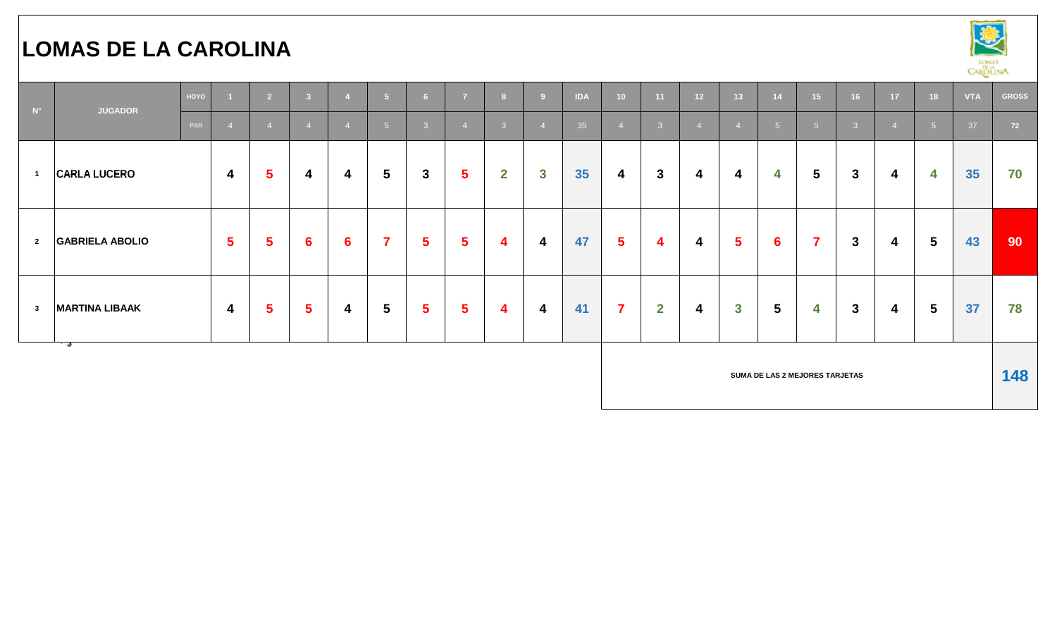# **LOMAS DE LA CAROLINA**



| $N^{\circ}$              | <b>JUGADOR</b>         | HOYO |                         | $\overline{2}$          | $\overline{\mathbf{3}}$ | $\overline{4}$          | 5 <sup>1</sup>  | $6\overline{6}$         | $\overline{7}$ | 8                       | -9                      | <b>IDA</b> | 10                      | 11           | 12 <sup>2</sup>         | 13 <sup>°</sup> | 14             | 15 <sub>1</sub>                | 16           | 17         | 18                      | <b>VTA</b> | <b>GROSS</b>    |
|--------------------------|------------------------|------|-------------------------|-------------------------|-------------------------|-------------------------|-----------------|-------------------------|----------------|-------------------------|-------------------------|------------|-------------------------|--------------|-------------------------|-----------------|----------------|--------------------------------|--------------|------------|-------------------------|------------|-----------------|
|                          |                        | PAR  |                         | $\overline{4}$          |                         | $\overline{4}$          | 5 <sup>1</sup>  | 3                       |                | $\mathbf{3}$            |                         | 35         | $\overline{4}$          | 3            | $\overline{4}$          | $\overline{4}$  | 5 <sup>5</sup> | 5 <sup>1</sup>                 | - 3          | $\sqrt{2}$ | 5 <sub>5</sub>          | 37         | 72              |
| $\overline{\phantom{0}}$ | <b>CARLA LUCERO</b>    |      | 4                       | 5                       | 4                       | 4                       | 5               | $\mathbf{3}$            | $5\phantom{a}$ | $\mathbf{2}$            | $\mathbf{3}$            | 35         | $\boldsymbol{4}$        | $\mathbf{3}$ | $\overline{\mathbf{4}}$ | 4               | 4              | 5                              | $\mathbf{3}$ | 4          | 4                       | 35         | 70              |
| $\overline{\mathbf{2}}$  | <b>GABRIELA ABOLIO</b> |      | 5 <sup>5</sup>          | $\overline{\mathbf{5}}$ | 6                       | $6\phantom{1}$          | $\overline{7}$  | $\overline{\mathbf{5}}$ | $5\phantom{1}$ | 4                       | $\overline{\mathbf{4}}$ | 47         | $5\phantom{1}$          | 4            | $\overline{\mathbf{4}}$ | $5\phantom{1}$  | $6\phantom{1}$ | $\overline{7}$                 | $\mathbf{3}$ | 4          | $5\phantom{.0}$         | 43         | 90 <sup>°</sup> |
| $\overline{\mathbf{3}}$  | <b>MARTINA LIBAAK</b>  |      | $\overline{\mathbf{4}}$ | $\sqrt{5}$              | $5\phantom{1}$          | $\overline{\mathbf{4}}$ | $5\phantom{.0}$ | $5\phantom{1}$          | $5\phantom{1}$ | $\overline{\mathbf{4}}$ | $\overline{\mathbf{4}}$ | 41         | $\overline{\mathbf{7}}$ | $\mathbf{2}$ | $\overline{\mathbf{4}}$ | $\mathbf{3}$    | 5              | 4                              | $\mathbf{3}$ | 4          | $\overline{\mathbf{5}}$ | 37         | 78              |
|                          | - 19                   |      |                         |                         |                         |                         |                 |                         |                |                         |                         |            |                         |              |                         |                 |                | SUMA DE LAS 2 MEJORES TARJETAS |              |            |                         |            | 148             |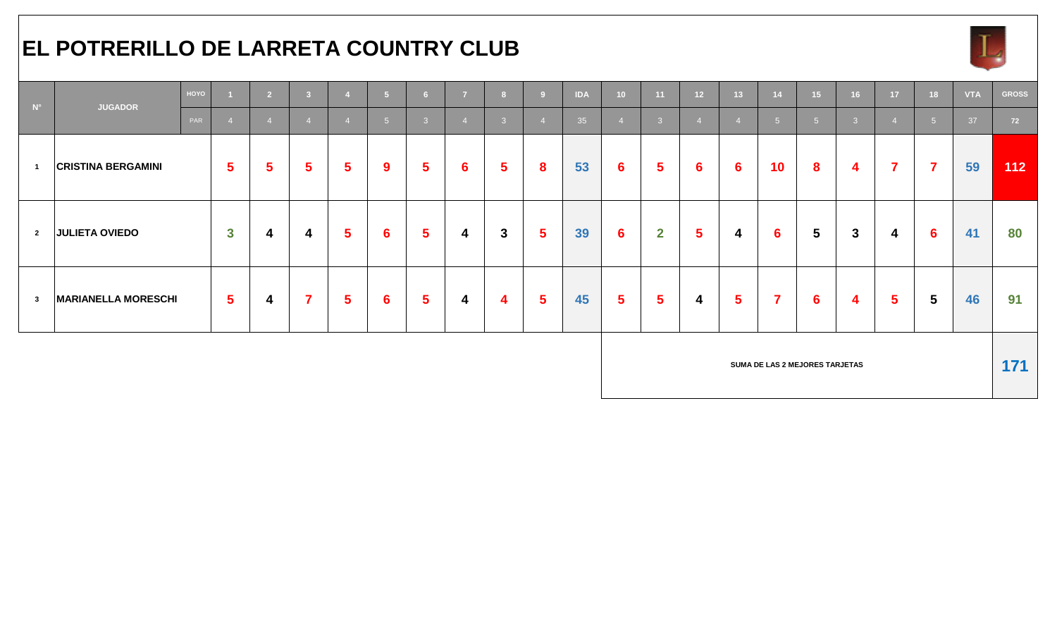#### **EL POTRERILLO DE LARRETA COUNTRY CLUB**



| $N^{\circ}$    | <b>JUGADOR</b>             | HOYO |                | $\overline{2}$ | $\overline{\mathbf{3}}$ |                | 5 <sup>1</sup> | 6 <sup>1</sup> | $\overline{7}$ | $\overline{\mathbf{8}}$ | 9               | <b>IDA</b> | 10 <sub>1</sub> | 11                      | 12 <sup>7</sup> | $\overline{13}$ | 14                      | 15                             | 16 <sup>1</sup>         | 17                      | 18                      | <b>VTA</b> | <b>GROSS</b> |
|----------------|----------------------------|------|----------------|----------------|-------------------------|----------------|----------------|----------------|----------------|-------------------------|-----------------|------------|-----------------|-------------------------|-----------------|-----------------|-------------------------|--------------------------------|-------------------------|-------------------------|-------------------------|------------|--------------|
|                |                            | PAR  |                | $\overline{4}$ |                         | $\overline{4}$ | 5 <sup>5</sup> | $\mathbf{3}$   |                | $\overline{\mathbf{3}}$ |                 | 35         | $\overline{4}$  | $\overline{3}$          |                 |                 | 5 <sup>5</sup>          | 5 <sup>1</sup>                 | $\overline{\mathbf{3}}$ |                         | 5 <sub>5</sub>          | 37         | 72           |
| $\overline{1}$ | <b>CRISTINA BERGAMINI</b>  |      | $5\phantom{1}$ | $5\phantom{1}$ | $5\phantom{1}$          | $5\phantom{1}$ | 9              | $5\phantom{1}$ | $6 \,$         | $5\phantom{.0}$         | 8               | 53         | $6\phantom{1}$  | $\overline{\mathbf{5}}$ | $6\phantom{1}6$ | $6\phantom{1}$  | 10                      | 8                              | $\boldsymbol{4}$        | $\overline{\mathbf{7}}$ | $\overline{\mathbf{7}}$ | 59         | 112          |
| $\overline{2}$ | <b>JULIETA OVIEDO</b>      |      | $\mathbf{3}$   | 4              | 4                       | $5\phantom{1}$ | $6\phantom{1}$ | $5\phantom{a}$ | 4              | $\mathbf{3}$            | $5\overline{5}$ | 39         | $6\phantom{1}6$ | $\overline{2}$          | 5               | 4               | $6\phantom{1}$          | $\overline{\mathbf{5}}$        | $\mathbf{3}$            | 4                       | $6\phantom{1}$          | 41         | 80           |
| $\mathbf{3}$   | <b>MARIANELLA MORESCHI</b> |      | $5\phantom{1}$ | 4              | $\overline{7}$          | $5\phantom{1}$ | $6\phantom{1}$ | $5\phantom{1}$ | 4              | $\overline{\mathbf{4}}$ | $5\phantom{1}$  | 45         | 5 <sup>5</sup>  | $5\phantom{1}$          | 4               | $5\phantom{a}$  | $\overline{\mathbf{7}}$ | $6\phantom{1}6$                | $\boldsymbol{4}$        | $5\phantom{1}$          | $5\phantom{.0}$         | 46         | 91           |
|                |                            |      |                |                |                         |                |                |                |                |                         |                 |            |                 |                         |                 |                 |                         | SUMA DE LAS 2 MEJORES TARJETAS |                         |                         |                         |            | 171          |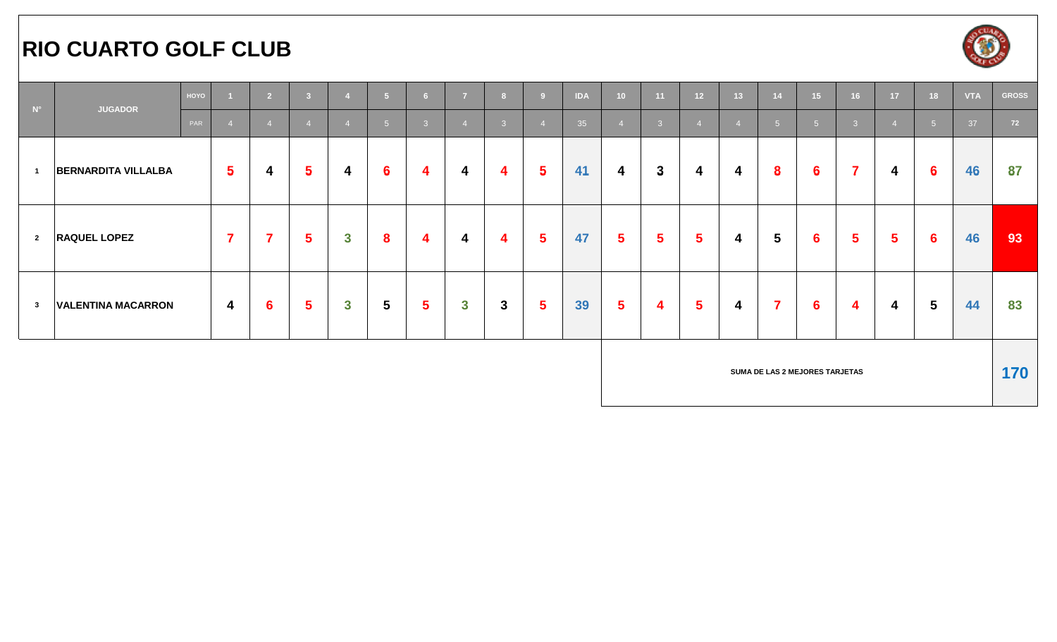#### **RIO CUARTO GOLF CLUB**



| $N^{\circ}$                | <b>JUGADOR</b>             | HOYO |                         | $\overline{2}$  | $\overline{\mathbf{3}}$ |                         | 5 <sub>1</sub>  | 6              | 7                       | 8              |                 | <b>IDA</b> | 10                      | 11             | 12 <sup>7</sup> | 13 <sup>°</sup> | 14                             | 15              | 16                      | 17             | 18              | <b>VTA</b> | <b>GROSS</b> |
|----------------------------|----------------------------|------|-------------------------|-----------------|-------------------------|-------------------------|-----------------|----------------|-------------------------|----------------|-----------------|------------|-------------------------|----------------|-----------------|-----------------|--------------------------------|-----------------|-------------------------|----------------|-----------------|------------|--------------|
|                            |                            | PAR  | $\overline{A}$          | $\overline{4}$  | $\overline{4}$          | $\overline{4}$          | 5 <sup>1</sup>  | $\sqrt{3}$     |                         | $\overline{3}$ |                 | 35         | $\overline{4}$          | $\overline{3}$ | $\sqrt{4}$      |                 | 5 <sup>1</sup>                 | 5 <sup>1</sup>  | $\overline{\mathbf{3}}$ | $\overline{A}$ | 5 <sup>5</sup>  | 37         | 72           |
| $\overline{\phantom{0}}$ 1 | <b>BERNARDITA VILLALBA</b> |      | 5 <sup>5</sup>          | 4               | $\overline{\mathbf{5}}$ | $\overline{\mathbf{4}}$ | $6\phantom{1}6$ | 4              | 4                       | 4              | $5\phantom{.0}$ | 41         | 4                       | $\mathbf{3}$   | 4               | 4               | 8                              | $6\phantom{1}6$ | $\overline{7}$          | 4              | $6\phantom{1}$  | 46         | 87           |
| $\overline{\mathbf{2}}$    | <b>RAQUEL LOPEZ</b>        |      | $\overline{\mathbf{z}}$ | $\overline{7}$  | $\overline{\mathbf{5}}$ | $\mathbf{3}$            | 8               | 4              | 4                       | 4              | $5\phantom{1}$  | 47         | $\overline{\mathbf{5}}$ | $5\phantom{1}$ | $5\phantom{1}$  | 4               | $5\phantom{.0}$                | $6\phantom{1}$  | 5 <sup>5</sup>          | 5              | $6\phantom{1}6$ | 46         | 93           |
| $\overline{\mathbf{3}}$    | <b>VALENTINA MACARRON</b>  |      | $\overline{4}$          | $6\phantom{1}6$ | $5\phantom{1}$          | $\mathbf{3}$            | $5\phantom{.0}$ | $5\phantom{1}$ | $\overline{\mathbf{3}}$ | $3\phantom{a}$ | $5\phantom{.0}$ | 39         | $5\phantom{.0}$         | 4              | $5\phantom{1}$  | 4               | $\overline{\mathbf{z}}$        | $6\phantom{1}$  | $\overline{\mathbf{4}}$ | 4              | $5\phantom{.0}$ | 44         | 83           |
|                            |                            |      |                         |                 |                         |                         |                 |                |                         |                |                 |            |                         |                |                 |                 | SUMA DE LAS 2 MEJORES TARJETAS |                 |                         |                |                 |            | 170          |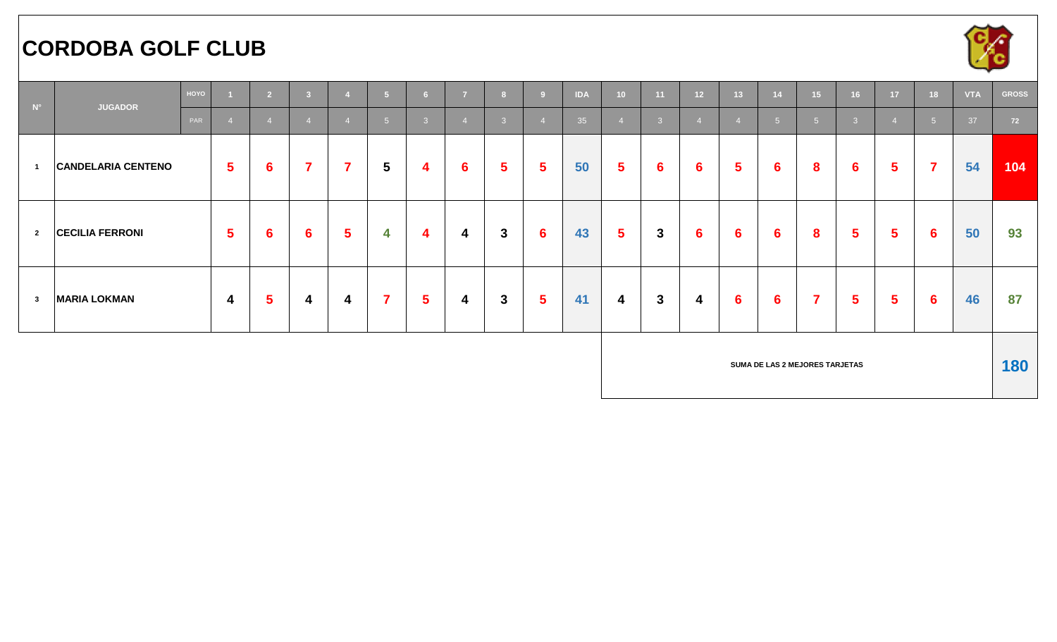### **CORDOBA GOLF CLUB**



| $N^{\circ}$             | <b>JUGADOR</b>            | HOYO |                         | $\overline{2}$          | $\overline{\mathbf{3}}$ |                | $\sqrt{5}$              | 6 <sup>1</sup> | $\overline{z}$          |                | <b>D</b>        | <b>IDA</b> | 10                      | 11             | 12 <sup>°</sup>         | 13 <sup>°</sup> | 14                             | 15 <sup>°</sup> | 16              | 17             | 18             | <b>VTA</b> | <b>GROSS</b> |
|-------------------------|---------------------------|------|-------------------------|-------------------------|-------------------------|----------------|-------------------------|----------------|-------------------------|----------------|-----------------|------------|-------------------------|----------------|-------------------------|-----------------|--------------------------------|-----------------|-----------------|----------------|----------------|------------|--------------|
|                         |                           | PAR  | $\sqrt{4}$              |                         |                         | $\overline{4}$ | 5 <sup>5</sup>          | $\overline{3}$ |                         | $\overline{3}$ |                 | 35         | $\overline{4}$          | 3 <sup>°</sup> | $\overline{4}$          |                 | 5 <sup>1</sup>                 | 5 <sup>5</sup>  | $\mathcal{B}$   |                | 5 <sub>5</sub> | 37         | 72           |
| $\overline{1}$          | <b>CANDELARIA CENTENO</b> |      | $5\phantom{.0}$         | 6                       | $\overline{\mathbf{7}}$ | $\overline{7}$ | $5\phantom{.0}$         | 4              | $6\phantom{1}$          | 5 <sup>1</sup> | $5\phantom{.0}$ | 50         | $5\overline{)}$         | $6\phantom{1}$ | $6\phantom{1}6$         | $5\phantom{1}$  | $6\phantom{1}$                 | 8               | $6\phantom{1}6$ | $5\phantom{1}$ | $\overline{7}$ | 54         | 104          |
| $\overline{2}$          | <b>CECILIA FERRONI</b>    |      | $5\phantom{1}$          | $6\phantom{1}6$         | $6\phantom{1}$          | 5 <sup>5</sup> | 4                       | 4              | 4                       | $3\phantom{a}$ | $6\phantom{1}$  | 43         | $5\overline{)}$         | $\mathbf{3}$   | $6\phantom{1}6$         | 6               | $6\phantom{1}$                 | 8               | $5\phantom{.0}$ | $5\phantom{1}$ | $6\phantom{1}$ | 50         | 93           |
| $\overline{\mathbf{3}}$ | <b>MARIA LOKMAN</b>       |      | $\overline{\mathbf{4}}$ | $\overline{\mathbf{5}}$ | 4                       | 4              | $\overline{\mathbf{7}}$ | $5\phantom{a}$ | $\overline{\mathbf{4}}$ | $3\phantom{a}$ | $5\phantom{.0}$ | 41         | $\overline{\mathbf{4}}$ | $\mathbf{3}$   | $\overline{\mathbf{4}}$ | $6\phantom{1}6$ | $6\phantom{1}$                 | $\overline{7}$  | $5\phantom{.0}$ | $5\phantom{1}$ | $6\phantom{1}$ | 46         | 87           |
|                         |                           |      |                         |                         |                         |                |                         |                |                         |                |                 |            |                         |                |                         |                 | SUMA DE LAS 2 MEJORES TARJETAS |                 |                 |                |                |            | 180          |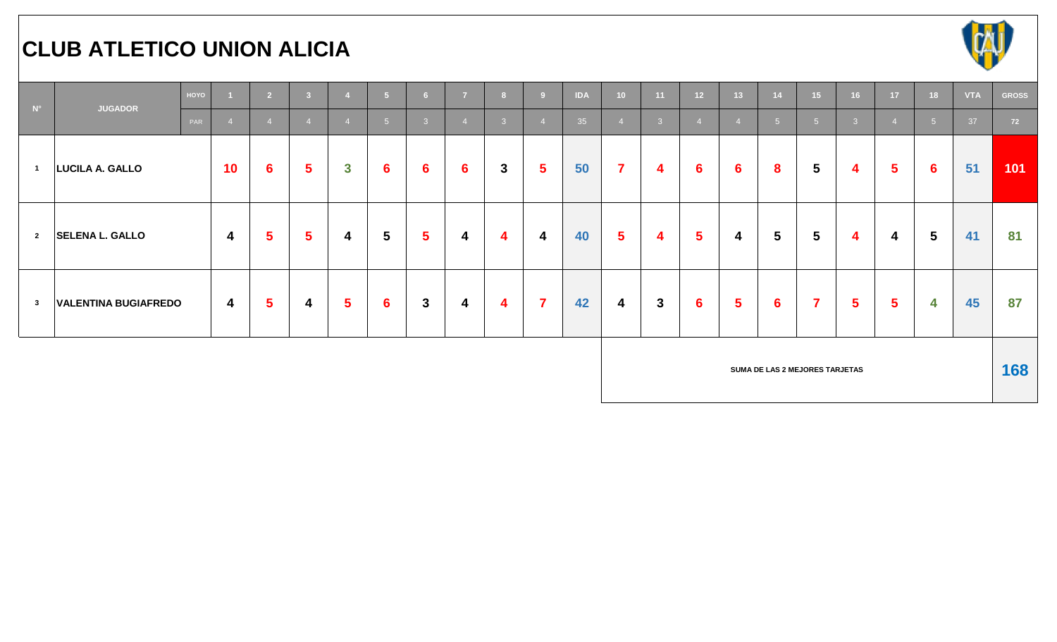# **CLUB ATLETICO UNION ALICIA**



| $N^{\circ}$             |                             | HOYO |                         | $\overline{2}$          | $\overline{\mathbf{3}}$ | $\overline{4}$ | 5 <sup>1</sup>  | 6 <sup>6</sup> | $\overline{7}$          | 8 <sup>1</sup> | -9                      | <b>IDA</b> | 10                      | 11                      | 12 <sup>7</sup> | 13 <sup>°</sup> | 14              | 15 <sub>1</sub>                | 16                      | 17                     | 18              | <b>VTA</b> | <b>GROSS</b> |
|-------------------------|-----------------------------|------|-------------------------|-------------------------|-------------------------|----------------|-----------------|----------------|-------------------------|----------------|-------------------------|------------|-------------------------|-------------------------|-----------------|-----------------|-----------------|--------------------------------|-------------------------|------------------------|-----------------|------------|--------------|
|                         | <b>JUGADOR</b><br>PAR       |      |                         | $\overline{4}$          | $\overline{4}$          | $\overline{4}$ | 5 <sup>1</sup>  | 3 <sup>2</sup> |                         | 3 <sup>1</sup> |                         | 35         | $\overline{4}$          | 3 <sup>°</sup>          | $\overline{4}$  | $\overline{4}$  | 5 <sup>1</sup>  | 5 <sup>1</sup>                 | $\overline{\mathbf{3}}$ | $\boldsymbol{\Lambda}$ | $-5$            | 37         | 72           |
| $\blacksquare$          | LUCILA A. GALLO             |      | 10                      | $6\phantom{1}6$         | $5\phantom{1}$          | $\mathbf{3}$   | $6\phantom{1}$  | $6\phantom{1}$ | $6\phantom{1}$          | $\mathbf{3}$   | $\sqrt{5}$              | 50         | $\overline{7}$          | 4                       | $6\phantom{1}$  | $6\phantom{1}$  | 8               | $5\phantom{.0}$                | $\overline{\mathbf{4}}$ | $5\phantom{1}$         | $6\phantom{1}6$ | 51         | 101          |
| $\overline{\mathbf{2}}$ | <b>SELENA L. GALLO</b>      |      | $\overline{\mathbf{4}}$ | $\sqrt{5}$              | $5\phantom{1}$          | 4              | $5\phantom{.0}$ | $5\phantom{1}$ | 4                       | 4              | $\overline{\mathbf{4}}$ | 40         | $5\phantom{1}$          | $\overline{\mathbf{4}}$ | $5\phantom{1}$  | 4               | $5\phantom{.0}$ | $5\phantom{.0}$                | $\overline{4}$          | 4                      | $5\phantom{.0}$ | 41         | 81           |
| $\overline{\mathbf{3}}$ | <b>VALENTINA BUGIAFREDO</b> |      | $\overline{\mathbf{4}}$ | $\overline{\mathbf{5}}$ | 4                       | $5\phantom{1}$ | $6\phantom{1}$  | $\mathbf{3}$   | $\overline{\mathbf{4}}$ | 4              | $\overline{7}$          | 42         | $\overline{\mathbf{4}}$ | $\mathbf{3}$            | $6\phantom{1}$  | $5\phantom{1}$  | $6\phantom{1}$  | $\overline{\mathbf{7}}$        | $5\phantom{1}$          | $5\phantom{1}$         | 4               | 45         | 87           |
|                         |                             |      |                         |                         |                         |                |                 |                |                         |                |                         |            |                         |                         |                 |                 |                 | SUMA DE LAS 2 MEJORES TARJETAS |                         |                        |                 |            | 168          |